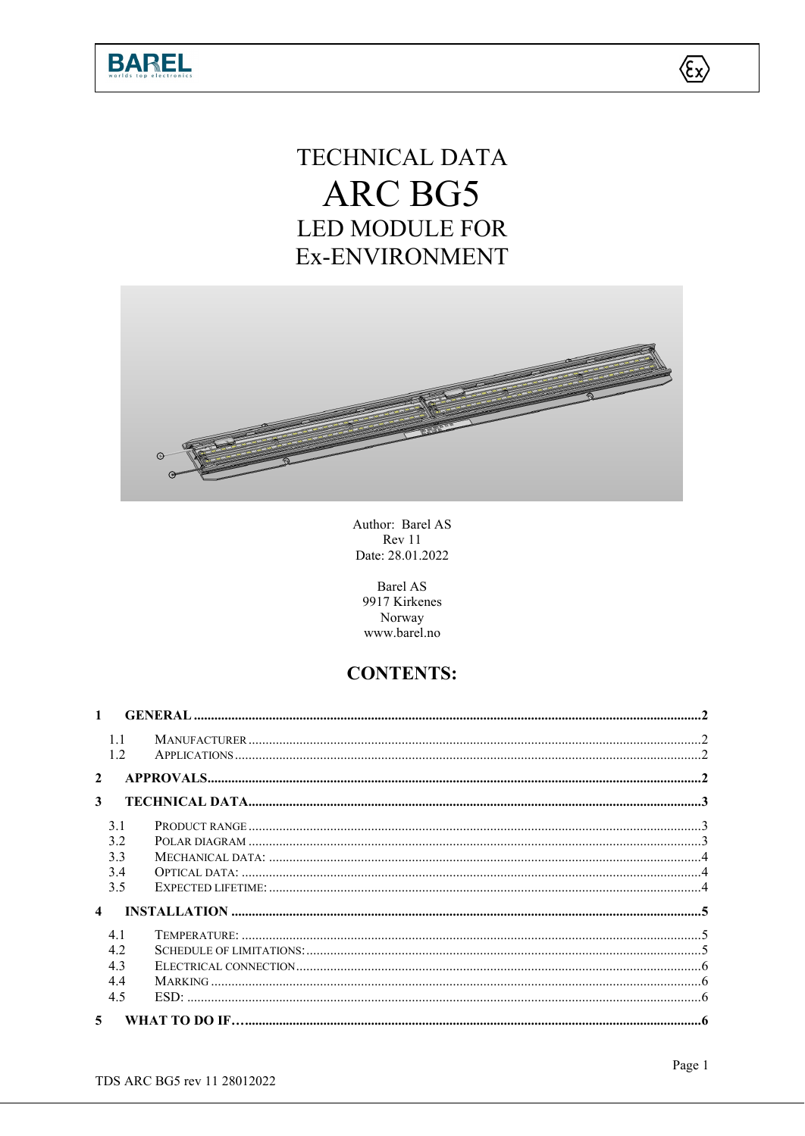

# TECHNICAL DATA ARC BG5 **LED MODULE FOR** Ex-ENVIRONMENT



Author: Barel AS Rev 11 Date: 28.01.2022

**Barel AS** 9917 Kirkenes Norway www.barel.no

# **CONTENTS:**

| $\mathbf{1}$     |             |  |  |  |  |  |
|------------------|-------------|--|--|--|--|--|
|                  | 1.1<br>1.2. |  |  |  |  |  |
| $\mathbf{2}$     |             |  |  |  |  |  |
| 3                |             |  |  |  |  |  |
|                  | 3.1         |  |  |  |  |  |
|                  | 3.2         |  |  |  |  |  |
|                  | 3.3         |  |  |  |  |  |
|                  | 3.4         |  |  |  |  |  |
|                  | 3.5         |  |  |  |  |  |
| $\blacktriangle$ |             |  |  |  |  |  |
|                  | 4.1         |  |  |  |  |  |
|                  | 4.2         |  |  |  |  |  |
|                  | 4.3         |  |  |  |  |  |
|                  | 4.4         |  |  |  |  |  |
|                  | 4.5         |  |  |  |  |  |
| 5 <sup>1</sup>   |             |  |  |  |  |  |

 $\langle \xi_{\rm X} \rangle$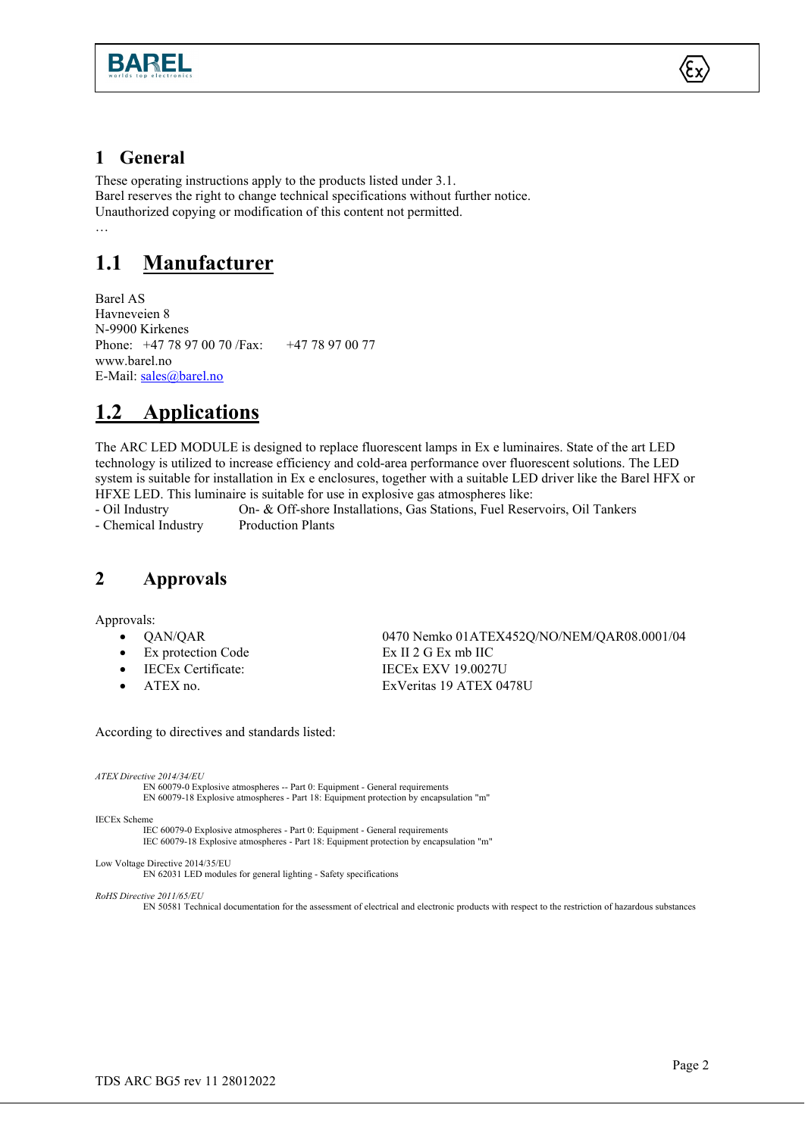



#### <span id="page-1-0"></span>**1 General**

These operating instructions apply to the products listed under 3.1. Barel reserves the right to change technical specifications without further notice. Unauthorized copying or modification of this content not permitted. …

## <span id="page-1-1"></span>**1.1 Manufacturer**

Barel AS Havneveien 8 N-9900 Kirkenes Phone: +47 78 97 00 70 /Fax: +47 78 97 00 77 www.barel.no E-Mail: [sales@barel.no](mailto:sales@barel.no)

# <span id="page-1-2"></span>**1.2 Applications**

The ARC LED MODULE is designed to replace fluorescent lamps in Ex e luminaires. State of the art LED technology is utilized to increase efficiency and cold-area performance over fluorescent solutions. The LED system is suitable for installation in Ex e enclosures, together with a suitable LED driver like the Barel HFX or HFXE LED. This luminaire is suitable for use in explosive gas atmospheres like:

- Oil Industry On- & Off-shore Installations, Gas Stations, Fuel Reservoirs, Oil Tankers - Chemical Industry Production Plants

#### <span id="page-1-3"></span>**2 Approvals**

Approvals:

- 
- Ex protection Code Ex II 2 G Ex mb IIC
- 
- 

• QAN/QAR 0470 Nemko 01ATEX452Q/NO/NEM/QAR08.0001/04 • IECEx Certificate: IECEx EXV 19.0027U • ATEX no. ExVeritas 19 ATEX 0478U

According to directives and standards listed:

*ATEX Directive 2014/34/EU*

EN 60079-0 Explosive atmospheres -- Part 0: Equipment - General requirements EN 60079-18 Explosive atmospheres - Part 18: Equipment protection by encapsulation "m"

IECEx Scheme

IEC 60079-0 Explosive atmospheres - Part 0: Equipment - General requirements

IEC 60079-18 Explosive atmospheres - Part 18: Equipment protection by encapsulation "m"

Low Voltage Directive 2014/35/EU

EN 62031 LED modules for general lighting - Safety specifications

*RoHS Directive 2011/65/EU*

EN 50581 Technical documentation for the assessment of electrical and electronic products with respect to the restriction of hazardous substances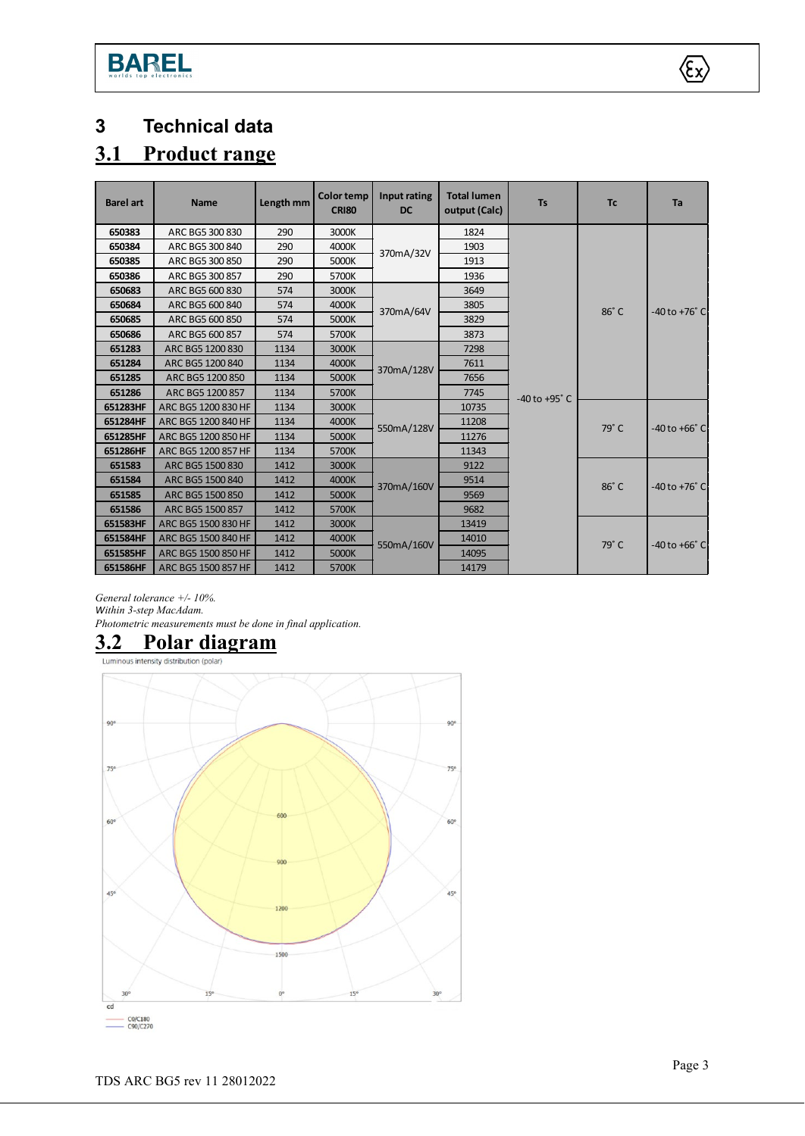**BAREL** 

<span id="page-2-0"></span>

# <span id="page-2-1"></span>**3.1 Product range**

| <b>Barel art</b> | <b>Name</b>         | Length mm | <b>Color temp</b><br><b>CRI80</b> | Input rating<br><b>DC</b> | <b>Total lumen</b><br>output (Calc) | <b>Ts</b>         | <b>Tc</b> | Ta                |
|------------------|---------------------|-----------|-----------------------------------|---------------------------|-------------------------------------|-------------------|-----------|-------------------|
| 650383           | ARC BG5 300 830     | 290       | 3000K                             |                           | 1824                                |                   |           |                   |
| 650384           | ARC BG5 300 840     | 290       | 4000K                             | 370mA/32V                 | 1903                                |                   |           |                   |
| 650385           | ARC BG5 300 850     | 290       | 5000K                             |                           | 1913                                |                   |           |                   |
| 650386           | ARC BG5 300 857     | 290       | 5700K                             |                           | 1936                                |                   |           |                   |
| 650683           | ARC BG5 600 830     | 574       | 3000K                             | 370mA/64V                 | 3649                                |                   | 86°C      | -40 to +76° C     |
| 650684           | ARC BG5 600 840     | 574       | 4000K                             |                           | 3805                                |                   |           |                   |
| 650685           | ARC BG5 600 850     | 574       | 5000K                             |                           | 3829                                |                   |           |                   |
| 650686           | ARC BG5 600 857     | 574       | 5700K                             |                           | 3873                                |                   |           |                   |
| 651283           | ARC BG5 1200 830    | 1134      | 3000K                             | 370mA/128V                | 7298                                |                   |           |                   |
| 651284           | ARC BG5 1200 840    | 1134      | 4000K                             |                           | 7611                                | $-40$ to $+95$ °C |           |                   |
| 651285           | ARC BG5 1200 850    | 1134      | 5000K                             |                           | 7656                                |                   |           |                   |
| 651286           | ARC BG5 1200 857    | 1134      | 5700K                             |                           | 7745                                |                   |           |                   |
| 651283HF         | ARC BG5 1200 830 HF | 1134      | 3000K                             | 550mA/128V                | 10735                               |                   | 79°C      | $-40$ to $+66°$ C |
| 651284HF         | ARC BG5 1200 840 HF | 1134      | 4000K                             |                           | 11208                               |                   |           |                   |
| 651285HF         | ARC BG5 1200 850 HF | 1134      | 5000K                             |                           | 11276                               |                   |           |                   |
| 651286HF         | ARC BG5 1200 857 HF | 1134      | 5700K                             |                           | 11343                               |                   |           |                   |
| 651583           | ARC BG5 1500 830    | 1412      | 3000K                             | 370mA/160V                | 9122                                |                   | 86°C      | $-40$ to $+76°$ C |
| 651584           | ARC BG5 1500 840    | 1412      | 4000K                             |                           | 9514                                |                   |           |                   |
| 651585           | ARC BG5 1500 850    | 1412      | 5000K                             |                           | 9569                                |                   |           |                   |
| 651586           | ARC BG5 1500 857    | 1412      | 5700K                             |                           | 9682                                |                   |           |                   |
| 651583HF         | ARC BG5 1500 830 HF | 1412      | 3000K                             | 550mA/160V                | 13419                               |                   |           | -40 to +66° C     |
| 651584HF         | ARC BG5 1500 840 HF | 1412      | 4000K                             |                           | 14010                               |                   | 79°C      |                   |
| 651585HF         | ARC BG5 1500 850 HF | 1412      | 5000K                             |                           | 14095                               |                   |           |                   |
| 651586HF         | ARC BG5 1500 857 HF | 1412      | 5700K                             |                           | 14179                               |                   |           |                   |

*General tolerance +/- 10%. Within 3-step MacAdam. Photometric measurements must be done in final application.*

# <span id="page-2-2"></span>**3.2 Polar diagram**



 $\langle \xi_{\rm X} \rangle$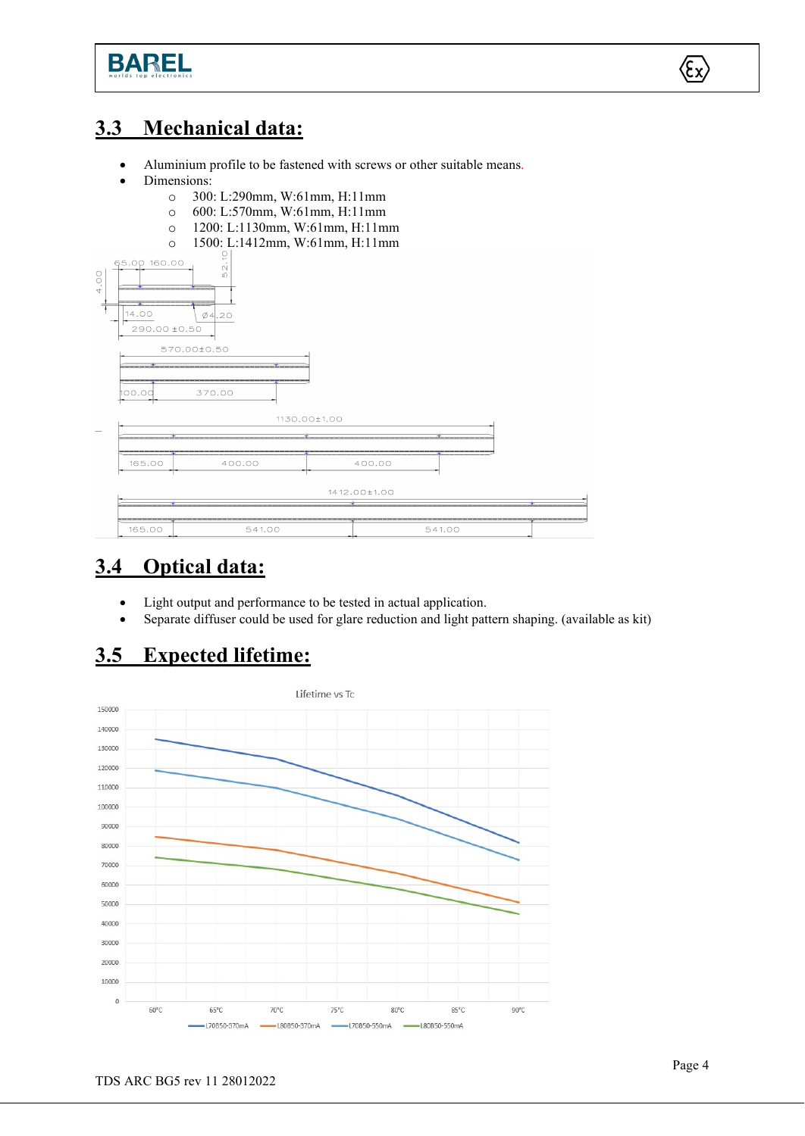

# <span id="page-3-0"></span>**3.3 Mechanical data:**

- Aluminium profile to be fastened with screws or other suitable means.
- Dimensions:
	-
	- o 300: L:290mm, W:61mm, H:11mm
	- o 600: L:570mm, W:61mm, H:11mm o 1200: L:1130mm, W:61mm, H:11mm
	- o 1500: L:1412mm, W:61mm, H:11mm



# <span id="page-3-1"></span>**3.4 Optical data:**

- Light output and performance to be tested in actual application.
- Separate diffuser could be used for glare reduction and light pattern shaping. (available as kit)

# <span id="page-3-2"></span>**3.5 Expected lifetime:**



 $\langle \epsilon_{\mathsf{x}} \rangle$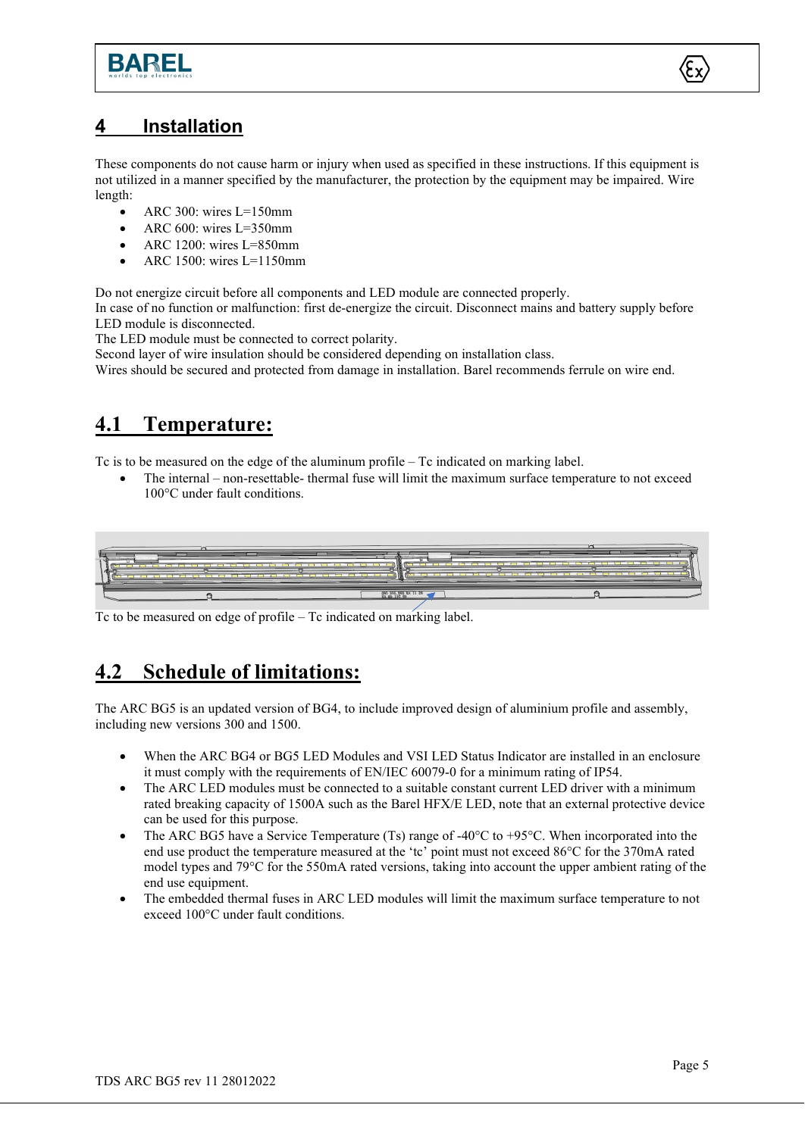



#### <span id="page-4-0"></span>**4 Installation**

These components do not cause harm or injury when used as specified in these instructions. If this equipment is not utilized in a manner specified by the manufacturer, the protection by the equipment may be impaired. Wire length:

- ARC 300: wires L=150mm
- ARC  $600$ : wires L=350mm
- ARC 1200: wires L=850mm
- ARC 1500: wires L=1150mm

Do not energize circuit before all components and LED module are connected properly.

In case of no function or malfunction: first de-energize the circuit. Disconnect mains and battery supply before LED module is disconnected.

The LED module must be connected to correct polarity.

Second layer of wire insulation should be considered depending on installation class.

Wires should be secured and protected from damage in installation. Barel recommends ferrule on wire end.

# <span id="page-4-1"></span>**4.1 Temperature:**

Tc is to be measured on the edge of the aluminum profile – Tc indicated on marking label.

• The internal – non-resettable- thermal fuse will limit the maximum surface temperature to not exceed 100°C under fault conditions.



Tc to be measured on edge of profile – Tc indicated on marking label.

# <span id="page-4-2"></span>**4.2 Schedule of limitations:**

The ARC BG5 is an updated version of BG4, to include improved design of aluminium profile and assembly, including new versions 300 and 1500.

- When the ARC BG4 or BG5 LED Modules and VSI LED Status Indicator are installed in an enclosure it must comply with the requirements of EN/IEC 60079-0 for a minimum rating of IP54.
- The ARC LED modules must be connected to a suitable constant current LED driver with a minimum rated breaking capacity of 1500A such as the Barel HFX/E LED, note that an external protective device can be used for this purpose.
- The ARC BG5 have a Service Temperature (Ts) range of  $-40^{\circ}$ C to  $+95^{\circ}$ C. When incorporated into the end use product the temperature measured at the 'tc' point must not exceed 86°C for the 370mA rated model types and 79°C for the 550mA rated versions, taking into account the upper ambient rating of the end use equipment.
- The embedded thermal fuses in ARC LED modules will limit the maximum surface temperature to not exceed 100°C under fault conditions.